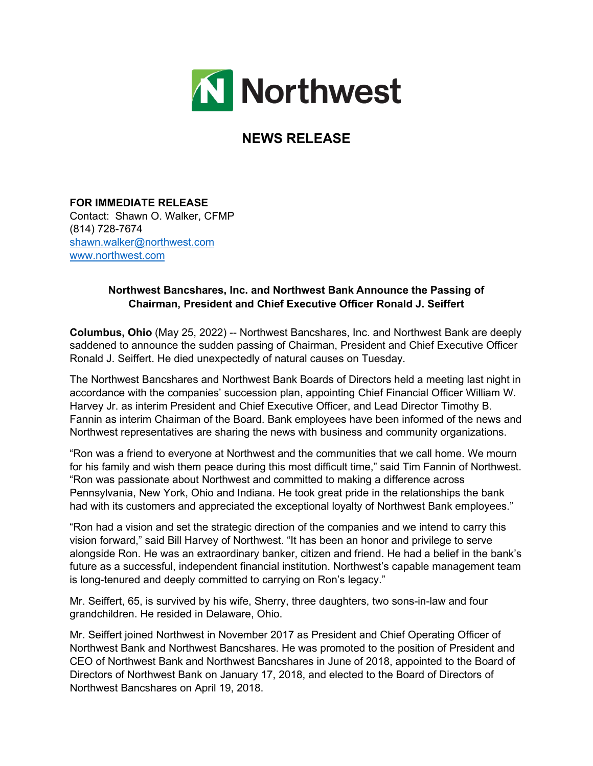

## **NEWS RELEASE**

**FOR IMMEDIATE RELEASE** Contact: Shawn O. Walker, CFMP (814) 728-7674 [shawn.walker@northwest.com](mailto:shawn.walker@northwest.com) [www.northwest.com](https://nam11.safelinks.protection.outlook.com/?url=http%3A%2F%2Fwww.northwest.com%2F&data=04%7C01%7Cbrye%40mower.com%7Cbc037ae978e648636ae008d9ec19398f%7Cdc2e9ed92fcd409db13cef5d0db3474b%7C0%7C0%7C637800415348799899%7CUnknown%7CTWFpbGZsb3d8eyJWIjoiMC4wLjAwMDAiLCJQIjoiV2luMzIiLCJBTiI6Ik1haWwiLCJXVCI6Mn0%3D%7C3000&sdata=8XgIJh3kttw7udOyuFSoeytmU%2F97hDr1VMhtA7NfA%2BM%3D&reserved=0)

## **Northwest Bancshares, Inc. and Northwest Bank Announce the Passing of Chairman, President and Chief Executive Officer Ronald J. Seiffert**

**Columbus, Ohio** (May 25, 2022) -- Northwest Bancshares, Inc. and Northwest Bank are deeply saddened to announce the sudden passing of Chairman, President and Chief Executive Officer Ronald J. Seiffert. He died unexpectedly of natural causes on Tuesday.

The Northwest Bancshares and Northwest Bank Boards of Directors held a meeting last night in accordance with the companies' succession plan, appointing Chief Financial Officer William W. Harvey Jr. as interim President and Chief Executive Officer, and Lead Director Timothy B. Fannin as interim Chairman of the Board. Bank employees have been informed of the news and Northwest representatives are sharing the news with business and community organizations.

"Ron was a friend to everyone at Northwest and the communities that we call home. We mourn for his family and wish them peace during this most difficult time," said Tim Fannin of Northwest. "Ron was passionate about Northwest and committed to making a difference across Pennsylvania, New York, Ohio and Indiana. He took great pride in the relationships the bank had with its customers and appreciated the exceptional loyalty of Northwest Bank employees."

"Ron had a vision and set the strategic direction of the companies and we intend to carry this vision forward," said Bill Harvey of Northwest. "It has been an honor and privilege to serve alongside Ron. He was an extraordinary banker, citizen and friend. He had a belief in the bank's future as a successful, independent financial institution. Northwest's capable management team is long-tenured and deeply committed to carrying on Ron's legacy."

Mr. Seiffert, 65, is survived by his wife, Sherry, three daughters, two sons-in-law and four grandchildren. He resided in Delaware, Ohio.

Mr. Seiffert joined Northwest in November 2017 as President and Chief Operating Officer of Northwest Bank and Northwest Bancshares. He was promoted to the position of President and CEO of Northwest Bank and Northwest Bancshares in June of 2018, appointed to the Board of Directors of Northwest Bank on January 17, 2018, and elected to the Board of Directors of Northwest Bancshares on April 19, 2018.